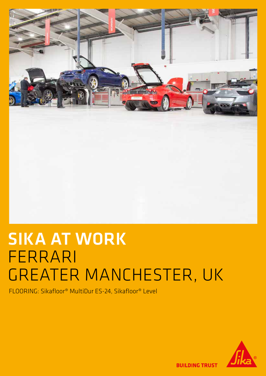

## SIKA AT WORK FERRARI GREATER MANCHESTER, UK

FLOORING: Sikafloor® MultiDur ES-24, Sikafloor® Level



**BUILDING TRUST**